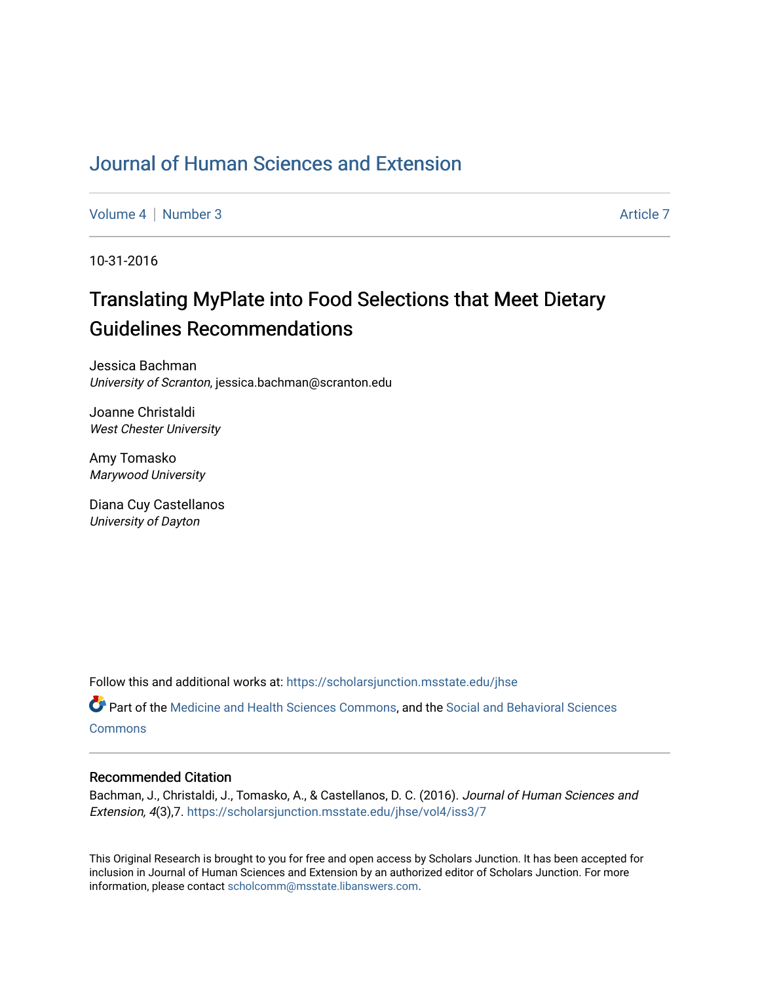## [Journal of Human Sciences and Extension](https://scholarsjunction.msstate.edu/jhse)

[Volume 4](https://scholarsjunction.msstate.edu/jhse/vol4) | [Number 3](https://scholarsjunction.msstate.edu/jhse/vol4/iss3) Article 7

10-31-2016

# Translating MyPlate into Food Selections that Meet Dietary Guidelines Recommendations

Jessica Bachman University of Scranton, jessica.bachman@scranton.edu

Joanne Christaldi West Chester University

Amy Tomasko Marywood University

Diana Cuy Castellanos University of Dayton

Follow this and additional works at: [https://scholarsjunction.msstate.edu/jhse](https://scholarsjunction.msstate.edu/jhse?utm_source=scholarsjunction.msstate.edu%2Fjhse%2Fvol4%2Fiss3%2F7&utm_medium=PDF&utm_campaign=PDFCoverPages)

Part of the [Medicine and Health Sciences Commons,](http://network.bepress.com/hgg/discipline/648?utm_source=scholarsjunction.msstate.edu%2Fjhse%2Fvol4%2Fiss3%2F7&utm_medium=PDF&utm_campaign=PDFCoverPages) and the [Social and Behavioral Sciences](http://network.bepress.com/hgg/discipline/316?utm_source=scholarsjunction.msstate.edu%2Fjhse%2Fvol4%2Fiss3%2F7&utm_medium=PDF&utm_campaign=PDFCoverPages) **[Commons](http://network.bepress.com/hgg/discipline/316?utm_source=scholarsjunction.msstate.edu%2Fjhse%2Fvol4%2Fiss3%2F7&utm_medium=PDF&utm_campaign=PDFCoverPages)** 

#### Recommended Citation

Bachman, J., Christaldi, J., Tomasko, A., & Castellanos, D. C. (2016). Journal of Human Sciences and Extension, 4(3),7. [https://scholarsjunction.msstate.edu/jhse/vol4/iss3/7](https://scholarsjunction.msstate.edu/jhse/vol4/iss3/7?utm_source=scholarsjunction.msstate.edu%2Fjhse%2Fvol4%2Fiss3%2F7&utm_medium=PDF&utm_campaign=PDFCoverPages)

This Original Research is brought to you for free and open access by Scholars Junction. It has been accepted for inclusion in Journal of Human Sciences and Extension by an authorized editor of Scholars Junction. For more information, please contact [scholcomm@msstate.libanswers.com](mailto:scholcomm@msstate.libanswers.com).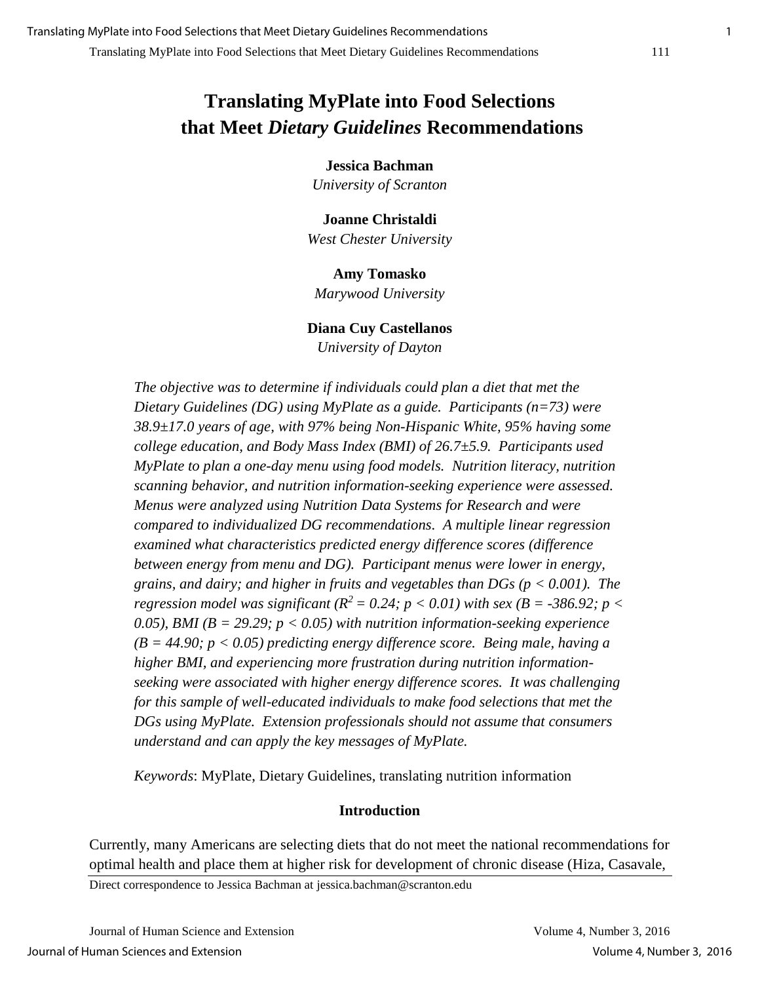## **Translating MyPlate into Food Selections that Meet** *Dietary Guidelines* **Recommendations**

**Jessica Bachman**

*University of Scranton* 

**Joanne Christaldi** *West Chester University* 

#### **Amy Tomasko**

*Marywood University* 

#### **Diana Cuy Castellanos**

*University of Dayton* 

*The objective was to determine if individuals could plan a diet that met the Dietary Guidelines (DG) using MyPlate as a guide. Participants (n=73) were 38.9±17.0 years of age, with 97% being Non-Hispanic White, 95% having some college education, and Body Mass Index (BMI) of 26.7±5.9. Participants used MyPlate to plan a one-day menu using food models. Nutrition literacy, nutrition scanning behavior, and nutrition information-seeking experience were assessed. Menus were analyzed using Nutrition Data Systems for Research and were compared to individualized DG recommendations. A multiple linear regression examined what characteristics predicted energy difference scores (difference between energy from menu and DG). Participant menus were lower in energy, grains, and dairy; and higher in fruits and vegetables than DGs (p < 0.001). The regression model was significant* ( $R^2 = 0.24$ ;  $p < 0.01$ ) with sex ( $B = -386.92$ ;  $p <$ *0.05), BMI (B = 29.29; p < 0.05) with nutrition information-seeking experience (B = 44.90; p < 0.05) predicting energy difference score. Being male, having a higher BMI, and experiencing more frustration during nutrition informationseeking were associated with higher energy difference scores. It was challenging for this sample of well-educated individuals to make food selections that met the DGs using MyPlate. Extension professionals should not assume that consumers understand and can apply the key messages of MyPlate.* 

*Keywords*: MyPlate, Dietary Guidelines, translating nutrition information

#### **Introduction**

Currently, many Americans are selecting diets that do not meet the national recommendations for optimal health and place them at higher risk for development of chronic disease (Hiza, Casavale,

Direct correspondence to Jessica Bachman at jessica.bachman@scranton.edu

Journal of Human Science and Extension Volume 4, Number 3, 2016 Journal of Human Sciences and Extension Volume 4, Number 3, 2016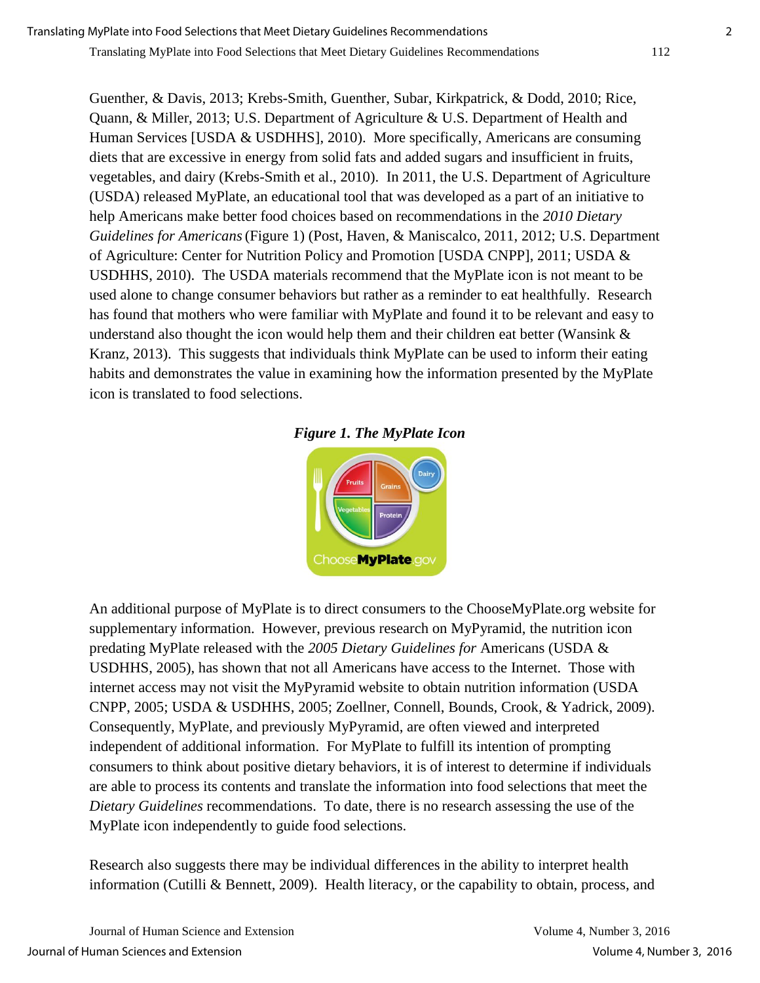Guenther, & Davis, 2013; Krebs-Smith, Guenther, Subar, Kirkpatrick, & Dodd, 2010; Rice, Quann, & Miller, 2013; U.S. Department of Agriculture & U.S. Department of Health and Human Services [USDA & USDHHS], 2010). More specifically, Americans are consuming diets that are excessive in energy from solid fats and added sugars and insufficient in fruits, vegetables, and dairy (Krebs-Smith et al., 2010). In 2011, the U.S. Department of Agriculture (USDA) released MyPlate, an educational tool that was developed as a part of an initiative to help Americans make better food choices based on recommendations in the *2010 Dietary Guidelines for Americans*(Figure 1) (Post, Haven, & Maniscalco, 2011, 2012; U.S. Department of Agriculture: Center for Nutrition Policy and Promotion [USDA CNPP], 2011; USDA & USDHHS, 2010). The USDA materials recommend that the MyPlate icon is not meant to be used alone to change consumer behaviors but rather as a reminder to eat healthfully. Research has found that mothers who were familiar with MyPlate and found it to be relevant and easy to understand also thought the icon would help them and their children eat better (Wansink & Kranz, 2013). This suggests that individuals think MyPlate can be used to inform their eating habits and demonstrates the value in examining how the information presented by the MyPlate icon is translated to food selections.





An additional purpose of MyPlate is to direct consumers to the ChooseMyPlate.org website for supplementary information. However, previous research on MyPyramid, the nutrition icon predating MyPlate released with the *2005 Dietary Guidelines for* Americans (USDA & USDHHS, 2005), has shown that not all Americans have access to the Internet. Those with internet access may not visit the MyPyramid website to obtain nutrition information (USDA CNPP, 2005; USDA & USDHHS, 2005; Zoellner, Connell, Bounds, Crook, & Yadrick, 2009). Consequently, MyPlate, and previously MyPyramid, are often viewed and interpreted independent of additional information. For MyPlate to fulfill its intention of prompting consumers to think about positive dietary behaviors, it is of interest to determine if individuals are able to process its contents and translate the information into food selections that meet the *Dietary Guidelines* recommendations. To date, there is no research assessing the use of the MyPlate icon independently to guide food selections.

Research also suggests there may be individual differences in the ability to interpret health information (Cutilli & Bennett, 2009). Health literacy, or the capability to obtain, process, and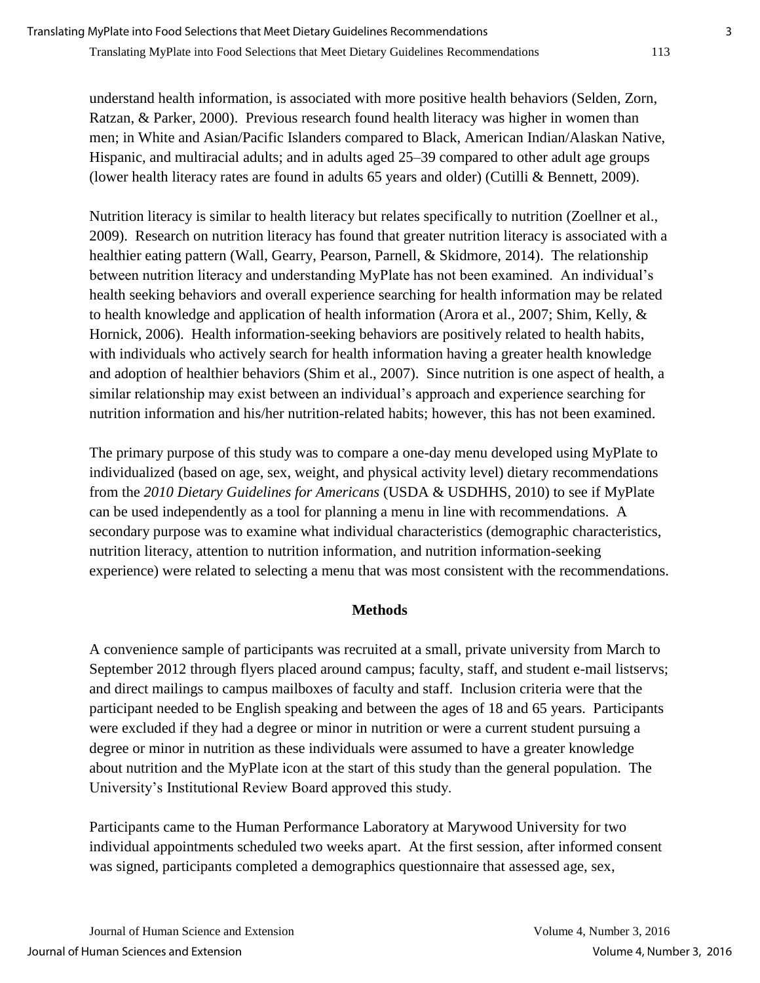understand health information, is associated with more positive health behaviors (Selden, Zorn, Ratzan, & Parker, 2000). Previous research found health literacy was higher in women than men; in White and Asian/Pacific Islanders compared to Black, American Indian/Alaskan Native, Hispanic, and multiracial adults; and in adults aged 25–39 compared to other adult age groups (lower health literacy rates are found in adults 65 years and older) (Cutilli & Bennett, 2009).

Nutrition literacy is similar to health literacy but relates specifically to nutrition (Zoellner et al., 2009). Research on nutrition literacy has found that greater nutrition literacy is associated with a healthier eating pattern (Wall, Gearry, Pearson, Parnell, & Skidmore, 2014). The relationship between nutrition literacy and understanding MyPlate has not been examined. An individual's health seeking behaviors and overall experience searching for health information may be related to health knowledge and application of health information (Arora et al., 2007; Shim, Kelly, & Hornick, 2006). Health information-seeking behaviors are positively related to health habits, with individuals who actively search for health information having a greater health knowledge and adoption of healthier behaviors (Shim et al., 2007). Since nutrition is one aspect of health, a similar relationship may exist between an individual's approach and experience searching for nutrition information and his/her nutrition-related habits; however, this has not been examined.

The primary purpose of this study was to compare a one-day menu developed using MyPlate to individualized (based on age, sex, weight, and physical activity level) dietary recommendations from the *2010 Dietary Guidelines for Americans* (USDA & USDHHS, 2010) to see if MyPlate can be used independently as a tool for planning a menu in line with recommendations. A secondary purpose was to examine what individual characteristics (demographic characteristics, nutrition literacy, attention to nutrition information, and nutrition information-seeking experience) were related to selecting a menu that was most consistent with the recommendations.

## **Methods**

A convenience sample of participants was recruited at a small, private university from March to September 2012 through flyers placed around campus; faculty, staff, and student e-mail listservs; and direct mailings to campus mailboxes of faculty and staff. Inclusion criteria were that the participant needed to be English speaking and between the ages of 18 and 65 years. Participants were excluded if they had a degree or minor in nutrition or were a current student pursuing a degree or minor in nutrition as these individuals were assumed to have a greater knowledge about nutrition and the MyPlate icon at the start of this study than the general population. The University's Institutional Review Board approved this study.

Participants came to the Human Performance Laboratory at Marywood University for two individual appointments scheduled two weeks apart. At the first session, after informed consent was signed, participants completed a demographics questionnaire that assessed age, sex,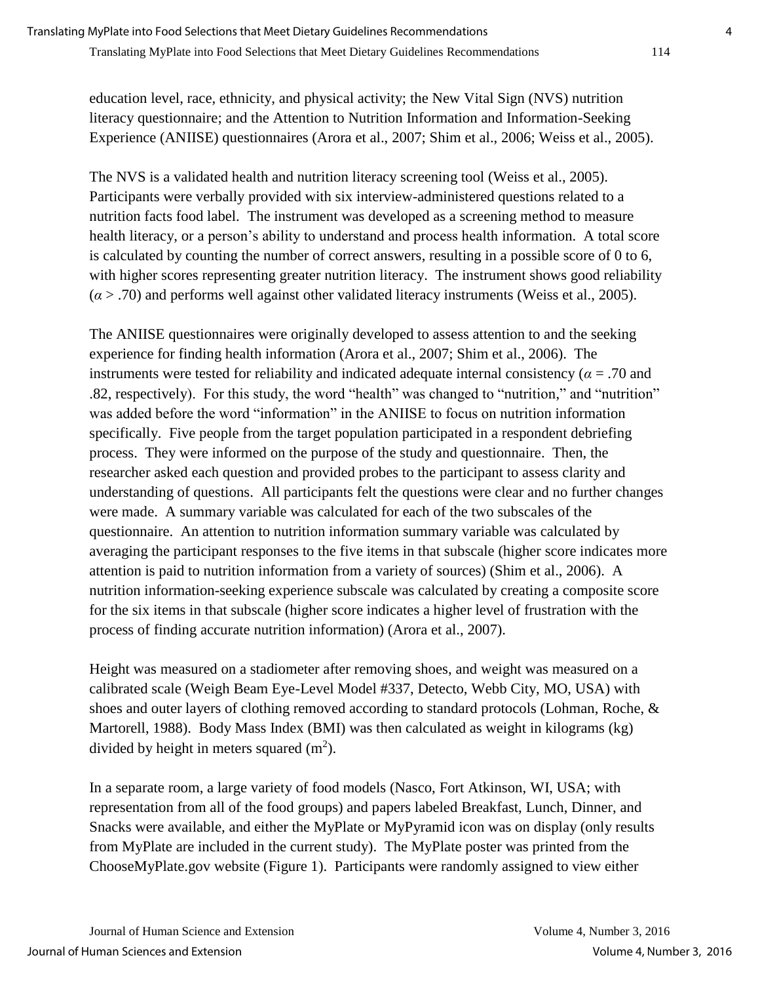education level, race, ethnicity, and physical activity; the New Vital Sign (NVS) nutrition literacy questionnaire; and the Attention to Nutrition Information and Information-Seeking Experience (ANIISE) questionnaires (Arora et al., 2007; Shim et al., 2006; Weiss et al., 2005).

The NVS is a validated health and nutrition literacy screening tool (Weiss et al., 2005). Participants were verbally provided with six interview-administered questions related to a nutrition facts food label. The instrument was developed as a screening method to measure health literacy, or a person's ability to understand and process health information. A total score is calculated by counting the number of correct answers, resulting in a possible score of 0 to 6, with higher scores representing greater nutrition literacy. The instrument shows good reliability  $(a > .70)$  and performs well against other validated literacy instruments (Weiss et al., 2005).

The ANIISE questionnaires were originally developed to assess attention to and the seeking experience for finding health information (Arora et al., 2007; Shim et al., 2006). The instruments were tested for reliability and indicated adequate internal consistency ( $\alpha$  = .70 and .82, respectively). For this study, the word "health" was changed to "nutrition," and "nutrition" was added before the word "information" in the ANIISE to focus on nutrition information specifically. Five people from the target population participated in a respondent debriefing process. They were informed on the purpose of the study and questionnaire. Then, the researcher asked each question and provided probes to the participant to assess clarity and understanding of questions. All participants felt the questions were clear and no further changes were made. A summary variable was calculated for each of the two subscales of the questionnaire. An attention to nutrition information summary variable was calculated by averaging the participant responses to the five items in that subscale (higher score indicates more attention is paid to nutrition information from a variety of sources) (Shim et al., 2006). A nutrition information-seeking experience subscale was calculated by creating a composite score for the six items in that subscale (higher score indicates a higher level of frustration with the process of finding accurate nutrition information) (Arora et al., 2007).

Height was measured on a stadiometer after removing shoes, and weight was measured on a calibrated scale (Weigh Beam Eye-Level Model #337, Detecto, Webb City, MO, USA) with shoes and outer layers of clothing removed according to standard protocols (Lohman, Roche, & Martorell, 1988). Body Mass Index (BMI) was then calculated as weight in kilograms (kg) divided by height in meters squared  $(m^2)$ .

In a separate room, a large variety of food models (Nasco, Fort Atkinson, WI, USA; with representation from all of the food groups) and papers labeled Breakfast, Lunch, Dinner, and Snacks were available, and either the MyPlate or MyPyramid icon was on display (only results from MyPlate are included in the current study). The MyPlate poster was printed from the ChooseMyPlate.gov website (Figure 1). Participants were randomly assigned to view either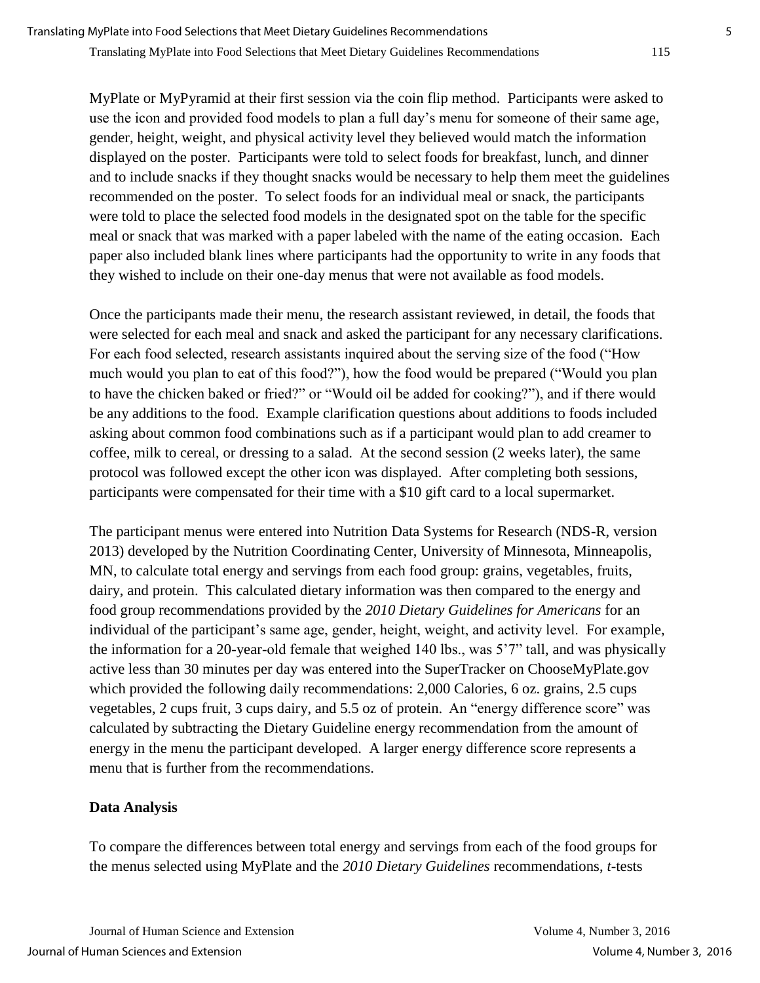MyPlate or MyPyramid at their first session via the coin flip method. Participants were asked to use the icon and provided food models to plan a full day's menu for someone of their same age, gender, height, weight, and physical activity level they believed would match the information displayed on the poster. Participants were told to select foods for breakfast, lunch, and dinner and to include snacks if they thought snacks would be necessary to help them meet the guidelines recommended on the poster. To select foods for an individual meal or snack, the participants were told to place the selected food models in the designated spot on the table for the specific meal or snack that was marked with a paper labeled with the name of the eating occasion. Each paper also included blank lines where participants had the opportunity to write in any foods that they wished to include on their one-day menus that were not available as food models.

Once the participants made their menu, the research assistant reviewed, in detail, the foods that were selected for each meal and snack and asked the participant for any necessary clarifications. For each food selected, research assistants inquired about the serving size of the food ("How much would you plan to eat of this food?"), how the food would be prepared ("Would you plan to have the chicken baked or fried?" or "Would oil be added for cooking?"), and if there would be any additions to the food. Example clarification questions about additions to foods included asking about common food combinations such as if a participant would plan to add creamer to coffee, milk to cereal, or dressing to a salad. At the second session (2 weeks later), the same protocol was followed except the other icon was displayed. After completing both sessions, participants were compensated for their time with a \$10 gift card to a local supermarket.

The participant menus were entered into Nutrition Data Systems for Research (NDS-R, version 2013) developed by the Nutrition Coordinating Center, University of Minnesota, Minneapolis, MN, to calculate total energy and servings from each food group: grains, vegetables, fruits, dairy, and protein. This calculated dietary information was then compared to the energy and food group recommendations provided by the *2010 Dietary Guidelines for Americans* for an individual of the participant's same age, gender, height, weight, and activity level. For example, the information for a 20-year-old female that weighed 140 lbs., was 5'7" tall, and was physically active less than 30 minutes per day was entered into the SuperTracker on ChooseMyPlate.gov which provided the following daily recommendations: 2,000 Calories, 6 oz. grains, 2.5 cups vegetables, 2 cups fruit, 3 cups dairy, and 5.5 oz of protein. An "energy difference score" was calculated by subtracting the Dietary Guideline energy recommendation from the amount of energy in the menu the participant developed. A larger energy difference score represents a menu that is further from the recommendations.

## **Data Analysis**

To compare the differences between total energy and servings from each of the food groups for the menus selected using MyPlate and the *2010 Dietary Guidelines* recommendations, *t*-tests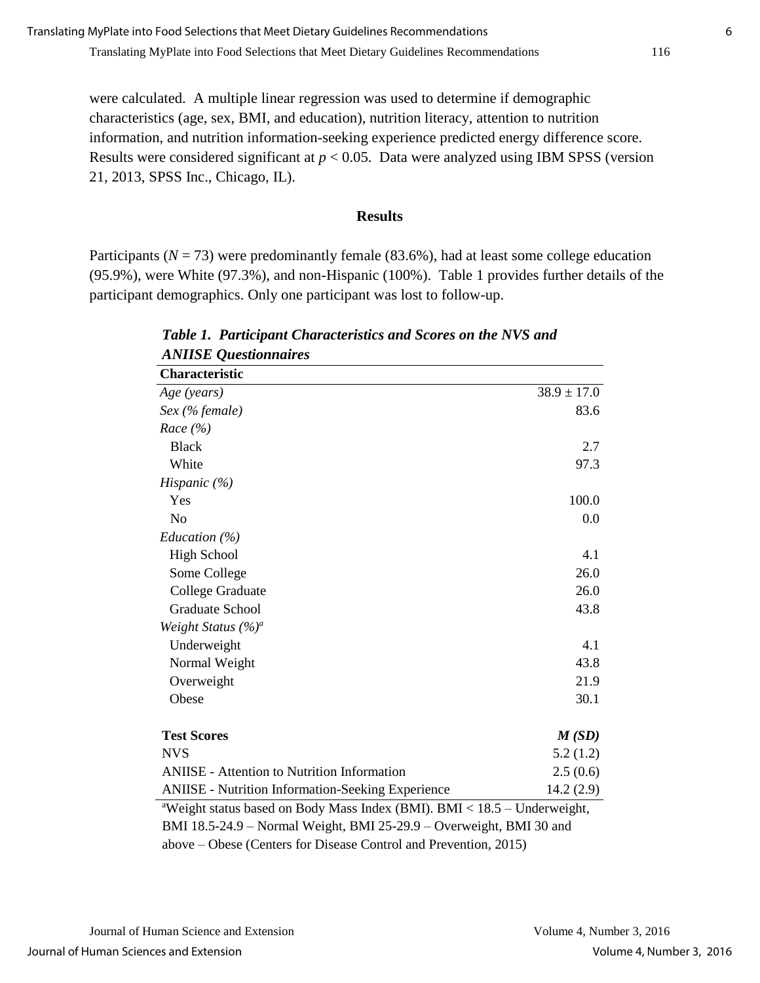were calculated. A multiple linear regression was used to determine if demographic characteristics (age, sex, BMI, and education), nutrition literacy, attention to nutrition information, and nutrition information-seeking experience predicted energy difference score. Results were considered significant at *p* < 0.05. Data were analyzed using IBM SPSS (version 21, 2013, SPSS Inc., Chicago, IL).

#### **Results**

Participants ( $N = 73$ ) were predominantly female (83.6%), had at least some college education (95.9%), were White (97.3%), and non-Hispanic (100%). Table 1 provides further details of the participant demographics. Only one participant was lost to follow-up.

| Characteristic                                                                       |                 |
|--------------------------------------------------------------------------------------|-----------------|
| Age (years)                                                                          | $38.9 \pm 17.0$ |
| $Sex$ (% female)                                                                     | 83.6            |
| Race $(\% )$                                                                         |                 |
| <b>Black</b>                                                                         | 2.7             |
| White                                                                                | 97.3            |
| Hispanic $(\% )$                                                                     |                 |
| Yes                                                                                  | 100.0           |
| N <sub>o</sub>                                                                       | 0.0             |
| Education $(\%)$                                                                     |                 |
| <b>High School</b>                                                                   | 4.1             |
| Some College                                                                         | 26.0            |
| College Graduate                                                                     | 26.0            |
| <b>Graduate School</b>                                                               | 43.8            |
| Weight Status $(\%)^a$                                                               |                 |
| Underweight                                                                          | 4.1             |
| Normal Weight                                                                        | 43.8            |
| Overweight                                                                           | 21.9            |
| Obese                                                                                | 30.1            |
| <b>Test Scores</b>                                                                   | M(SD)           |
| <b>NVS</b>                                                                           | 5.2(1.2)        |
| <b>ANIISE</b> - Attention to Nutrition Information                                   | 2.5(0.6)        |
| <b>ANIISE</b> - Nutrition Information-Seeking Experience                             | 14.2(2.9)       |
| <sup>a</sup> Weight status based on Body Mass Index (BMI). BMI < 18.5 - Underweight, |                 |
| BMI 18.5-24.9 - Normal Weight, BMI 25-29.9 - Overweight, BMI 30 and                  |                 |

*Table 1. Participant Characteristics and Scores on the NVS and ANIISE Questionnaires* 

above – Obese (Centers for Disease Control and Prevention, 2015)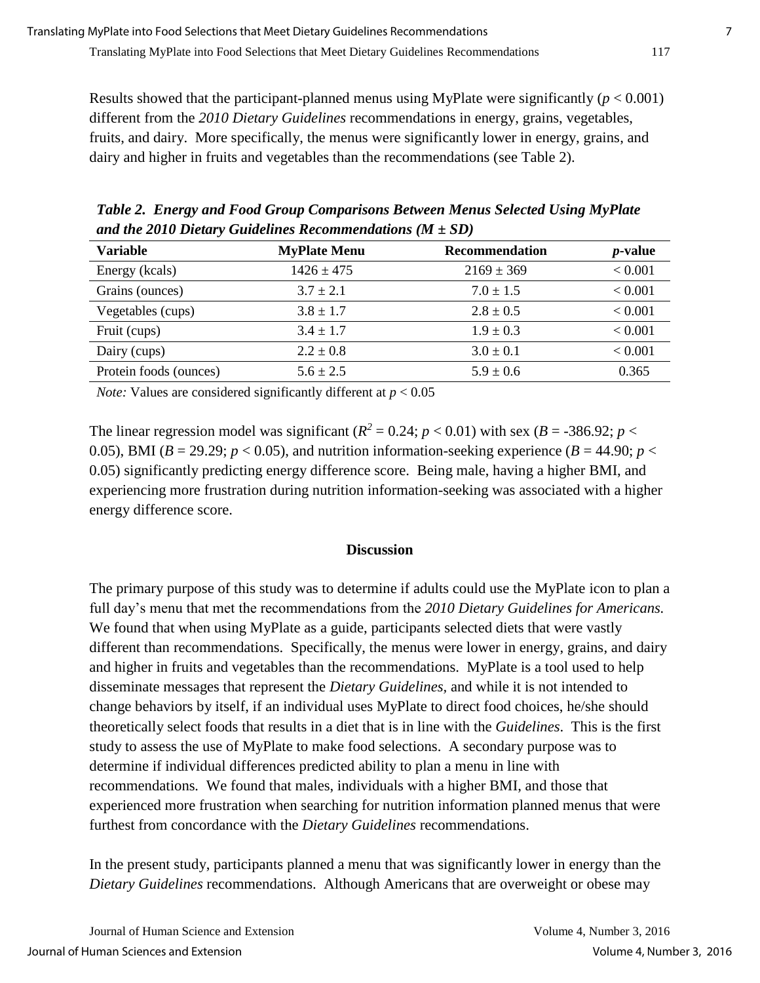Results showed that the participant-planned menus using MyPlate were significantly  $(p < 0.001)$ different from the *2010 Dietary Guidelines* recommendations in energy, grains, vegetables, fruits, and dairy. More specifically, the menus were significantly lower in energy, grains, and dairy and higher in fruits and vegetables than the recommendations (see Table 2).

*Table 2. Energy and Food Group Comparisons Between Menus Selected Using MyPlate and the 2010 Dietary Guidelines Recommendations (M ± SD)*

| <b>Variable</b>        | <b>MyPlate Menu</b> | <b>Recommendation</b> | <i>p</i> -value |
|------------------------|---------------------|-----------------------|-----------------|
| Energy (kcals)         | $1426 \pm 475$      | $2169 \pm 369$        | < 0.001         |
| Grains (ounces)        | $3.7 \pm 2.1$       | $7.0 \pm 1.5$         | < 0.001         |
| Vegetables (cups)      | $3.8 \pm 1.7$       | $2.8 \pm 0.5$         | < 0.001         |
| Fruit (cups)           | $3.4 \pm 1.7$       | $1.9 \pm 0.3$         | < 0.001         |
| Dairy (cups)           | $2.2 \pm 0.8$       | $3.0 \pm 0.1$         | < 0.001         |
| Protein foods (ounces) | $5.6 \pm 2.5$       | $5.9 \pm 0.6$         | 0.365           |

*Note:* Values are considered significantly different at  $p < 0.05$ 

The linear regression model was significant ( $R^2 = 0.24$ ;  $p < 0.01$ ) with sex ( $B = -386.92$ ;  $p <$ 0.05), BMI ( $B = 29.29$ ;  $p < 0.05$ ), and nutrition information-seeking experience ( $B = 44.90$ ;  $p <$ 0.05) significantly predicting energy difference score. Being male, having a higher BMI, and experiencing more frustration during nutrition information-seeking was associated with a higher energy difference score.

## **Discussion**

The primary purpose of this study was to determine if adults could use the MyPlate icon to plan a full day's menu that met the recommendations from the *2010 Dietary Guidelines for Americans.*  We found that when using MyPlate as a guide, participants selected diets that were vastly different than recommendations. Specifically, the menus were lower in energy, grains, and dairy and higher in fruits and vegetables than the recommendations. MyPlate is a tool used to help disseminate messages that represent the *Dietary Guidelines,* and while it is not intended to change behaviors by itself, if an individual uses MyPlate to direct food choices, he/she should theoretically select foods that results in a diet that is in line with the *Guidelines*. This is the first study to assess the use of MyPlate to make food selections. A secondary purpose was to determine if individual differences predicted ability to plan a menu in line with recommendations*.* We found that males, individuals with a higher BMI, and those that experienced more frustration when searching for nutrition information planned menus that were furthest from concordance with the *Dietary Guidelines* recommendations.

In the present study, participants planned a menu that was significantly lower in energy than the *Dietary Guidelines* recommendations. Although Americans that are overweight or obese may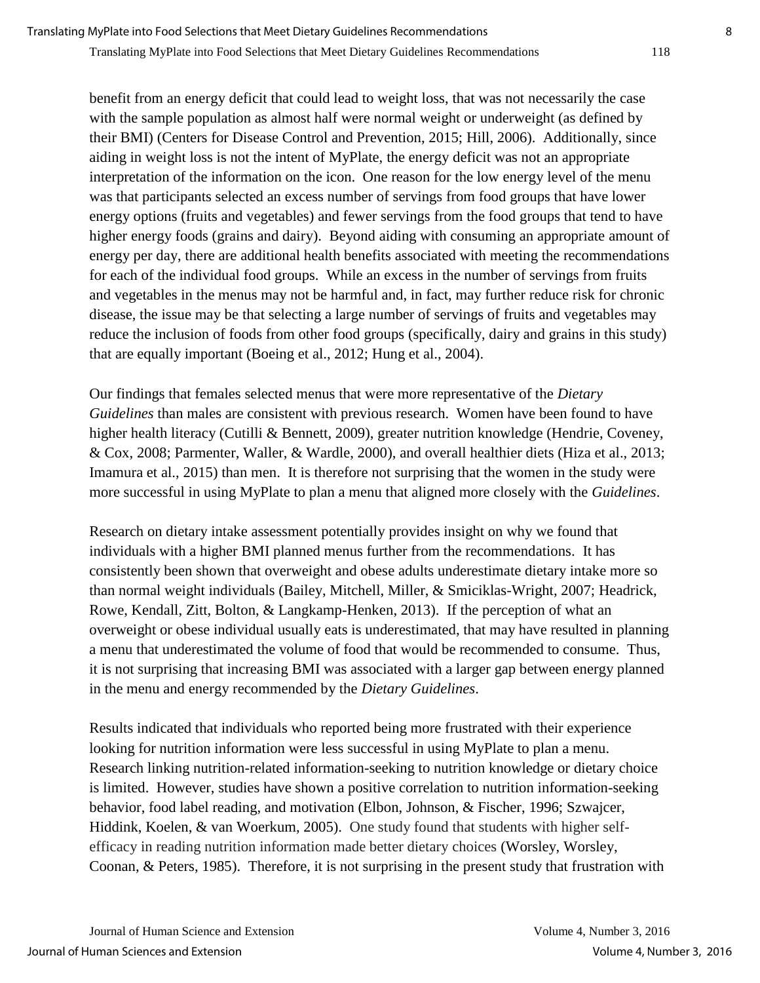Translating MyPlate into Food Selections that Meet Dietary Guidelines Recommendations 118

benefit from an energy deficit that could lead to weight loss, that was not necessarily the case with the sample population as almost half were normal weight or underweight (as defined by their BMI) (Centers for Disease Control and Prevention, 2015; Hill, 2006). Additionally, since aiding in weight loss is not the intent of MyPlate, the energy deficit was not an appropriate interpretation of the information on the icon. One reason for the low energy level of the menu was that participants selected an excess number of servings from food groups that have lower energy options (fruits and vegetables) and fewer servings from the food groups that tend to have higher energy foods (grains and dairy). Beyond aiding with consuming an appropriate amount of energy per day, there are additional health benefits associated with meeting the recommendations for each of the individual food groups. While an excess in the number of servings from fruits and vegetables in the menus may not be harmful and, in fact, may further reduce risk for chronic disease, the issue may be that selecting a large number of servings of fruits and vegetables may reduce the inclusion of foods from other food groups (specifically, dairy and grains in this study) that are equally important (Boeing et al., 2012; Hung et al., 2004).

Our findings that females selected menus that were more representative of the *Dietary Guidelines* than males are consistent with previous research. Women have been found to have higher health literacy (Cutilli & Bennett, 2009), greater nutrition knowledge (Hendrie, Coveney, & Cox, 2008; Parmenter, Waller, & Wardle, 2000), and overall healthier diets (Hiza et al., 2013; Imamura et al., 2015) than men. It is therefore not surprising that the women in the study were more successful in using MyPlate to plan a menu that aligned more closely with the *Guidelines*.

Research on dietary intake assessment potentially provides insight on why we found that individuals with a higher BMI planned menus further from the recommendations. It has consistently been shown that overweight and obese adults underestimate dietary intake more so than normal weight individuals (Bailey, Mitchell, Miller, & Smiciklas-Wright, 2007; Headrick, Rowe, Kendall, Zitt, Bolton, & Langkamp-Henken, 2013). If the perception of what an overweight or obese individual usually eats is underestimated, that may have resulted in planning a menu that underestimated the volume of food that would be recommended to consume. Thus, it is not surprising that increasing BMI was associated with a larger gap between energy planned in the menu and energy recommended by the *Dietary Guidelines*.

Results indicated that individuals who reported being more frustrated with their experience looking for nutrition information were less successful in using MyPlate to plan a menu. Research linking nutrition-related information-seeking to nutrition knowledge or dietary choice is limited. However, studies have shown a positive correlation to nutrition information-seeking behavior, food label reading, and motivation (Elbon, Johnson, & Fischer, 1996; Szwajcer, Hiddink, Koelen, & van Woerkum, 2005). One study found that students with higher selfefficacy in reading nutrition information made better dietary choices (Worsley, Worsley, Coonan, & Peters, 1985). Therefore, it is not surprising in the present study that frustration with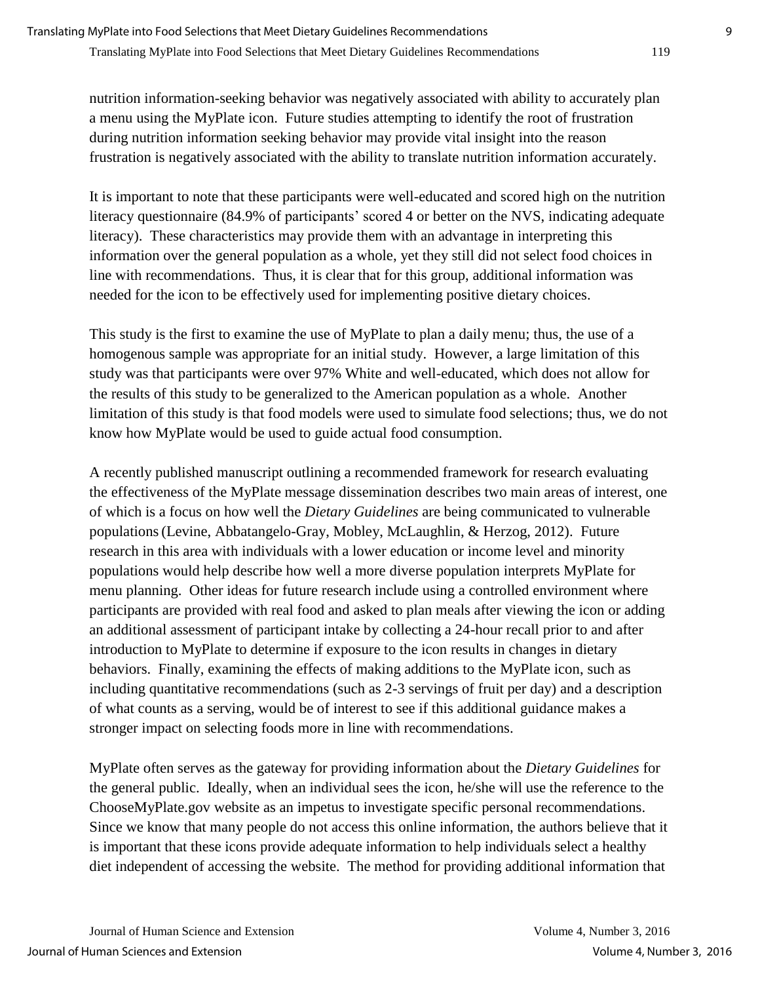nutrition information-seeking behavior was negatively associated with ability to accurately plan a menu using the MyPlate icon. Future studies attempting to identify the root of frustration during nutrition information seeking behavior may provide vital insight into the reason frustration is negatively associated with the ability to translate nutrition information accurately.

It is important to note that these participants were well-educated and scored high on the nutrition literacy questionnaire (84.9% of participants' scored 4 or better on the NVS, indicating adequate literacy). These characteristics may provide them with an advantage in interpreting this information over the general population as a whole, yet they still did not select food choices in line with recommendations. Thus, it is clear that for this group, additional information was needed for the icon to be effectively used for implementing positive dietary choices.

This study is the first to examine the use of MyPlate to plan a daily menu; thus, the use of a homogenous sample was appropriate for an initial study. However, a large limitation of this study was that participants were over 97% White and well-educated, which does not allow for the results of this study to be generalized to the American population as a whole. Another limitation of this study is that food models were used to simulate food selections; thus, we do not know how MyPlate would be used to guide actual food consumption.

A recently published manuscript outlining a recommended framework for research evaluating the effectiveness of the MyPlate message dissemination describes two main areas of interest, one of which is a focus on how well the *Dietary Guidelines* are being communicated to vulnerable populations(Levine, Abbatangelo-Gray, Mobley, McLaughlin, & Herzog, 2012). Future research in this area with individuals with a lower education or income level and minority populations would help describe how well a more diverse population interprets MyPlate for menu planning. Other ideas for future research include using a controlled environment where participants are provided with real food and asked to plan meals after viewing the icon or adding an additional assessment of participant intake by collecting a 24-hour recall prior to and after introduction to MyPlate to determine if exposure to the icon results in changes in dietary behaviors. Finally, examining the effects of making additions to the MyPlate icon, such as including quantitative recommendations (such as 2-3 servings of fruit per day) and a description of what counts as a serving, would be of interest to see if this additional guidance makes a stronger impact on selecting foods more in line with recommendations.

MyPlate often serves as the gateway for providing information about the *Dietary Guidelines* for the general public. Ideally, when an individual sees the icon, he/she will use the reference to the ChooseMyPlate.gov website as an impetus to investigate specific personal recommendations. Since we know that many people do not access this online information, the authors believe that it is important that these icons provide adequate information to help individuals select a healthy diet independent of accessing the website. The method for providing additional information that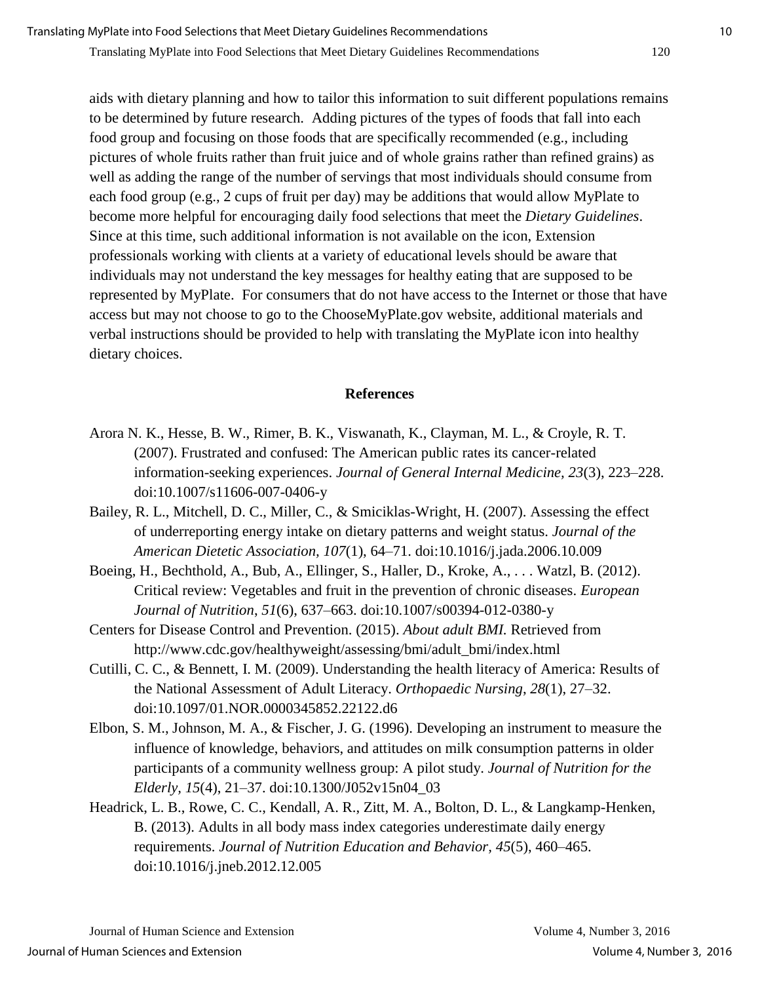aids with dietary planning and how to tailor this information to suit different populations remains to be determined by future research. Adding pictures of the types of foods that fall into each food group and focusing on those foods that are specifically recommended (e.g., including pictures of whole fruits rather than fruit juice and of whole grains rather than refined grains) as well as adding the range of the number of servings that most individuals should consume from each food group (e.g., 2 cups of fruit per day) may be additions that would allow MyPlate to become more helpful for encouraging daily food selections that meet the *Dietary Guidelines*. Since at this time, such additional information is not available on the icon, Extension professionals working with clients at a variety of educational levels should be aware that individuals may not understand the key messages for healthy eating that are supposed to be represented by MyPlate. For consumers that do not have access to the Internet or those that have access but may not choose to go to the ChooseMyPlate.gov website, additional materials and verbal instructions should be provided to help with translating the MyPlate icon into healthy dietary choices.

#### **References**

- Arora N. K., Hesse, B. W., Rimer, B. K., Viswanath, K., Clayman, M. L., & Croyle, R. T. (2007). Frustrated and confused: The American public rates its cancer-related information-seeking experiences. *Journal of General Internal Medicine, 23*(3), 223–228. doi:10.1007/s11606-007-0406-y
- Bailey, R. L., Mitchell, D. C., Miller, C., & Smiciklas-Wright, H. (2007). Assessing the effect of underreporting energy intake on dietary patterns and weight status. *Journal of the American Dietetic Association, 107*(1), 64–71. doi:10.1016/j.jada.2006.10.009
- Boeing, H., Bechthold, A., Bub, A., Ellinger, S., Haller, D., Kroke, A., . . . Watzl, B. (2012). Critical review: Vegetables and fruit in the prevention of chronic diseases. *European Journal of Nutrition*, *51*(6), 637–663. doi:10.1007/s00394-012-0380-y
- Centers for Disease Control and Prevention. (2015). *About adult BMI.* Retrieved from http://www.cdc.gov/healthyweight/assessing/bmi/adult\_bmi/index.html
- Cutilli, C. C., & Bennett, I. M. (2009). Understanding the health literacy of America: Results of the National Assessment of Adult Literacy. *Orthopaedic Nursing*, *28*(1), 27–32. doi:10.1097/01.NOR.0000345852.22122.d6
- Elbon, S. M., Johnson, M. A., & Fischer, J. G. (1996). Developing an instrument to measure the influence of knowledge, behaviors, and attitudes on milk consumption patterns in older participants of a community wellness group: A pilot study. *Journal of Nutrition for the Elderly, 15*(4), 21–37. doi:10.1300/J052v15n04\_03
- [Headrick, L. B.](http://www.ncbi.nlm.nih.gov/pubmed/?term=Headrick%20LB%5BAuthor%5D&cauthor=true&cauthor_uid=23465583), [Rowe, C. C.](http://www.ncbi.nlm.nih.gov/pubmed/?term=Rowe%20CC%5BAuthor%5D&cauthor=true&cauthor_uid=23465583), [Kendall, A. R.](http://www.ncbi.nlm.nih.gov/pubmed/?term=Kendall%20AR%5BAuthor%5D&cauthor=true&cauthor_uid=23465583), [Zitt, M. A.](http://www.ncbi.nlm.nih.gov/pubmed/?term=Zitt%20MA%5BAuthor%5D&cauthor=true&cauthor_uid=23465583), [Bolton, D. L.](http://www.ncbi.nlm.nih.gov/pubmed/?term=Bolton%20DL%5BAuthor%5D&cauthor=true&cauthor_uid=23465583), & [Langkamp-Henken,](http://www.ncbi.nlm.nih.gov/pubmed/?term=Langkamp-Henken%20B%5BAuthor%5D&cauthor=true&cauthor_uid=23465583)  [B.](http://www.ncbi.nlm.nih.gov/pubmed/?term=Langkamp-Henken%20B%5BAuthor%5D&cauthor=true&cauthor_uid=23465583) (2013). Adults in all body mass index categories underestimate daily energy requirements. *Journal of Nutrition Education and Behavior, 45*(5), 460–465. doi:10.1016/j.jneb.2012.12.005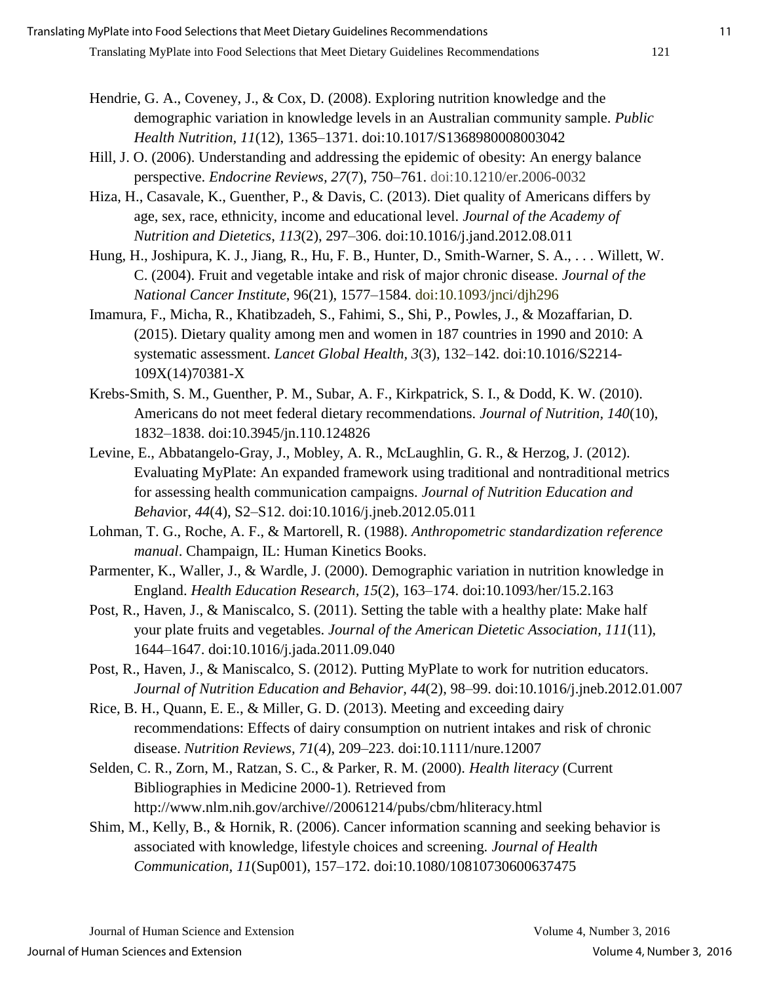- [Hendrie, G. A.](http://www.ncbi.nlm.nih.gov/pubmed/?term=Hendrie%20GA%5BAuthor%5D&cauthor=true&cauthor_uid=18671887), [Coveney, J.](http://www.ncbi.nlm.nih.gov/pubmed/?term=Coveney%20J%5BAuthor%5D&cauthor=true&cauthor_uid=18671887), & [Cox, D.](http://www.ncbi.nlm.nih.gov/pubmed/?term=Cox%20D%5BAuthor%5D&cauthor=true&cauthor_uid=18671887) (2008). Exploring nutrition knowledge and the demographic variation in knowledge levels in an Australian community sample. *Public Health Nutrition, 11*(12), 1365–1371. doi:10.1017/S1368980008003042
- Hill, J. O. (2006). Understanding and addressing the epidemic of obesity: An energy balance perspective. *Endocrine Reviews, 27*(7), 750–761. doi:10.1210/er.2006-0032
- Hiza, H., Casavale, K., Guenther, P., & Davis, C. (2013). Diet quality of Americans differs by age, sex, race, ethnicity, income and educational level. *Journal of the Academy of Nutrition and Dietetics*, *113*(2), 297–306. doi:10.1016/j.jand.2012.08.011
- Hung, H., Joshipura, K. J., Jiang, R., Hu, F. B., Hunter, D., Smith-Warner, S. A., . . . Willett, W. C. (2004). Fruit and vegetable intake and risk of major chronic disease. *Journal of the National Cancer Institute*, 96(21), 1577–1584. doi:10.1093/jnci/djh296
- [Imamura, F.](http://www.ncbi.nlm.nih.gov/pubmed/?term=Imamura%20F%5BAuthor%5D&cauthor=true&cauthor_uid=25701991), [Micha, R.](http://www.ncbi.nlm.nih.gov/pubmed/?term=Micha%20R%5BAuthor%5D&cauthor=true&cauthor_uid=25701991), [Khatibzadeh, S.](http://www.ncbi.nlm.nih.gov/pubmed/?term=Khatibzadeh%20S%5BAuthor%5D&cauthor=true&cauthor_uid=25701991), [Fahimi, S.](http://www.ncbi.nlm.nih.gov/pubmed/?term=Fahimi%20S%5BAuthor%5D&cauthor=true&cauthor_uid=25701991), [Shi, P.](http://www.ncbi.nlm.nih.gov/pubmed/?term=Shi%20P%5BAuthor%5D&cauthor=true&cauthor_uid=25701991), [Powles, J.](http://www.ncbi.nlm.nih.gov/pubmed/?term=Powles%20J%5BAuthor%5D&cauthor=true&cauthor_uid=25701991), & Mozaffarian, D. (2015). Dietary quality among men and women in 187 countries in 1990 and 2010: A systematic assessment. *Lancet Global Health, 3*(3), 132–142. doi:10.1016/S2214- 109X(14)70381-X
- Krebs-Smith, S. M., Guenther, P. M., Subar, A. F., Kirkpatrick, S. I., & Dodd, K. W. (2010). Americans do not meet federal dietary recommendations. *Journal of Nutrition, 140*(10), 1832–1838. doi:10.3945/jn.110.124826
- Levine, E., Abbatangelo-Gray, J., Mobley, A. R., McLaughlin, G. R., & Herzog, J. (2012). Evaluating MyPlate: An expanded framework using traditional and nontraditional metrics for assessing health communication campaigns. *Journal of Nutrition Education and Behav*ior, *44*(4), S2–S12. doi:10.1016/j.jneb.2012.05.011
- Lohman, T. G., Roche, A. F., & Martorell, R. (1988). *Anthropometric standardization reference manual*. Champaign, IL: Human Kinetics Books.
- [Parmenter, K.](http://www.ncbi.nlm.nih.gov/pubmed/?term=Parmenter%20K%5BAuthor%5D&cauthor=true&cauthor_uid=10751375), [Waller, J.](http://www.ncbi.nlm.nih.gov/pubmed/?term=Waller%20J%5BAuthor%5D&cauthor=true&cauthor_uid=10751375), & [Wardle, J.](http://www.ncbi.nlm.nih.gov/pubmed/?term=Wardle%20J%5BAuthor%5D&cauthor=true&cauthor_uid=10751375) (2000). Demographic variation in nutrition knowledge in England. *Health Education Research, 15*(2), 163–174. doi[:10.1093/her/15.2.163](http://dx.doi.org/10.1093%2Fher%2F15.2.163)
- Post, R., Haven, J., & Maniscalco, S. (2011). Setting the table with a healthy plate: Make half your plate fruits and vegetables. *Journal of the American Dietetic Association, 111*(11), 1644–1647. doi:10.1016/j.jada.2011.09.040
- Post, R., Haven, J., & Maniscalco, S. (2012). Putting MyPlate to work for nutrition educators. *Journal of Nutrition Education and Behavior, 44*(2), 98–99. doi:10.1016/j.jneb.2012.01.007
- Rice, B. H., Quann, E. E., & Miller, G. D. (2013). Meeting and exceeding dairy recommendations: Effects of dairy consumption on nutrient intakes and risk of chronic disease. *Nutrition Reviews, 71*(4), 209–223. doi:10.1111/nure.12007
- Selden, C. R., Zorn, M., Ratzan, S. C., & Parker, R. M. (2000). *Health literacy* (Current Bibliographies in Medicine 2000-1)*.* Retrieved from http://www.nlm.nih.gov/archive//20061214/pubs/cbm/hliteracy.html
- Shim, M., Kelly, B., & Hornik, R. (2006). Cancer information scanning and seeking behavior is associated with knowledge, lifestyle choices and screening. *Journal of Health Communication, 11*(Sup001), 157–172. doi:10.1080/10810730600637475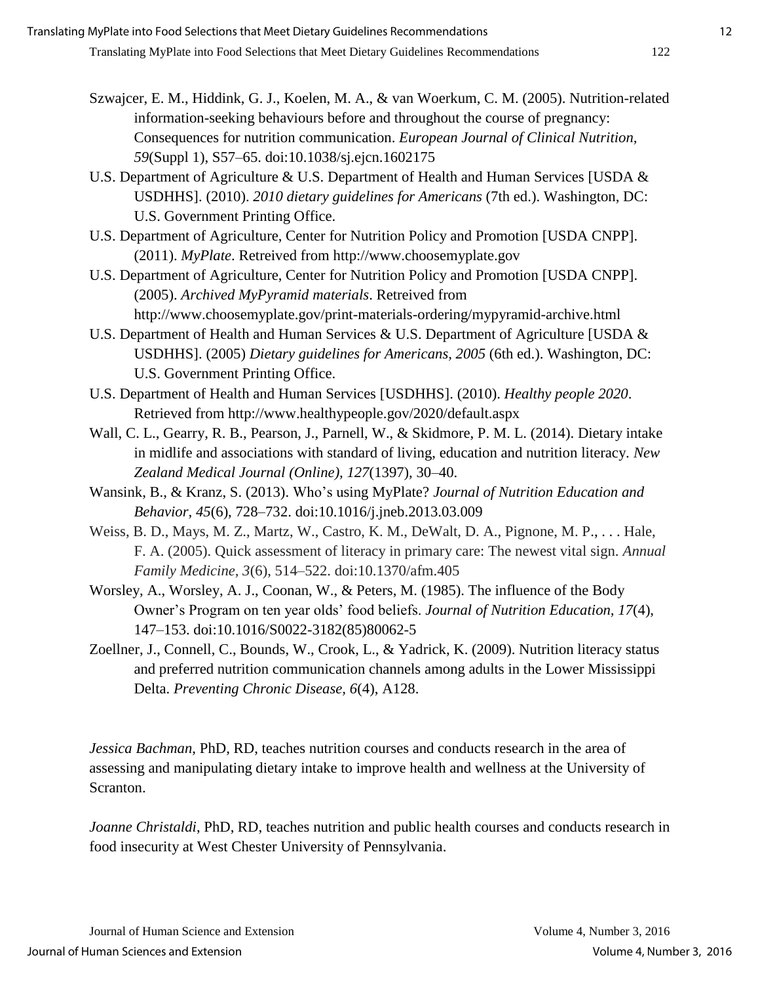- Szwajcer, E. M., Hiddink, G. J., Koelen, M. A., & van Woerkum, C. M. (2005). [Nutrition-related](http://www.ncbi.nlm.nih.gov/pubmed/16052197) [information-seeking behaviours before and](http://www.ncbi.nlm.nih.gov/pubmed/16052197) throughout the course of pregnancy: [Consequences for nutrition communication.](http://www.ncbi.nlm.nih.gov/pubmed/16052197) *European Journal of Clinical Nutrition, 59*(Suppl 1), S57–65. doi:10.1038/sj.ejcn.1602175
- U.S. Department of Agriculture & U.S. Department of Health and Human Services [USDA & USDHHS]. (2010). *2010 dietary guidelines for Americans* (7th ed.). Washington, DC: U.S. Government Printing Office.
- U.S. Department of Agriculture, Center for Nutrition Policy and Promotion [USDA CNPP]. (2011). *MyPlate*. Retreived from http://www.choosemyplate.gov
- U.S. Department of Agriculture, Center for Nutrition Policy and Promotion [USDA CNPP]. (2005). *Archived MyPyramid materials*. Retreived from http://www.choosemyplate.gov/print-materials-ordering/mypyramid-archive.html
- U.S. Department of Health and Human Services & U.S. Department of Agriculture [USDA & USDHHS]. (2005) *Dietary guidelines for Americans, 2005* (6th ed.). Washington, DC: U.S. Government Printing Office.
- U.S. Department of Health and Human Services [USDHHS]. (2010). *Healthy people 2020*. Retrieved from http://www.healthypeople.gov/2020/default.aspx
- Wall, C. L., Gearry, R. B., Pearson, J., Parnell, W., & Skidmore, P. M. L. (2014). Dietary intake in midlife and associations with standard of living, education and nutrition literacy. *New Zealand Medical Journal (Online), 127*(1397), 30–40.
- Wansink, B., & Kranz, S. (2013). Who's using MyPlate? *Journal of Nutrition Education and Behavior, 45*(6), 728–732. doi:10.1016/j.jneb.2013.03.009
- Weiss, B. D., Mays, M. Z., Martz, W., Castro, K. M., DeWalt, D. A., Pignone, M. P., . . . Hale, F. A. (2005). Quick assessment of literacy in primary care: The newest vital sign. *Annual Family Medicine, 3*(6), 514–522. doi:10.1370/afm.405
- Worsley, A., Worsley, A. J., Coonan, W., & Peters, M. (1985). The influence of the Body Owner's Program on ten year olds' food beliefs. *Journal of Nutrition Education, 17*(4), 147–153. doi:10.1016/S0022-3182(85)80062-5
- Zoellner, J., Connell, C., Bounds, W., Crook, L., & Yadrick, K. (2009). Nutrition literacy status and preferred nutrition communication channels among adults in the Lower Mississippi Delta. *Preventing Chronic Disease, 6*(4), A128.

*Jessica Bachman*, PhD, RD, teaches nutrition courses and conducts research in the area of assessing and manipulating dietary intake to improve health and wellness at the University of Scranton.

*Joanne Christaldi*, PhD, RD, teaches nutrition and public health courses and conducts research in food insecurity at West Chester University of Pennsylvania.